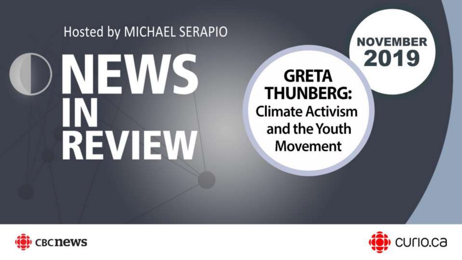

**GRETA THUNBERG: Climate Activism** and the Youth **Movement** 





**NOVEMBER** 

2019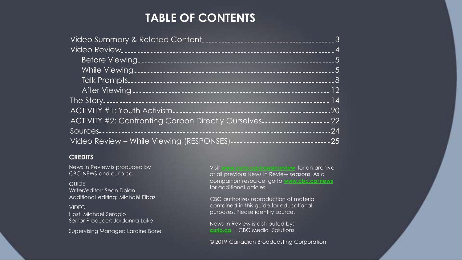## **TABLE OF CONTENTS**

|                                                                            | 20    |
|----------------------------------------------------------------------------|-------|
| ACTIVITY #2: Confronting Carbon Directly Ourselves--------------------- 22 |       |
|                                                                            | $-24$ |
|                                                                            |       |

#### **CREDITS**

News in Review is produced by CBC NEWS and curio.ca

**GUIDE** Writer/editor: Sean Dolan Additional editing: Michaël Elbaz

VIDEO Host: Michael Serapio Senior Producer: Jordanna Lake

Supervising Manager: Laraine Bone

Visit **[www.curio.ca/newsinreview](http://www.curio.ca/newsinreview)** for an archive of all previous News In Review seasons. As a companion resource, go to **[www.cbc.ca/news](http://www.cbc.ca/news)** for additional articles.

CBC authorizes reproduction of material contained in this guide for educational purposes. Please identify source.

News In Review is distributed by: **[curio.ca](https://curio.ca/en/)** | CBC Media Solutions

© 2019 Canadian Broadcasting Corporation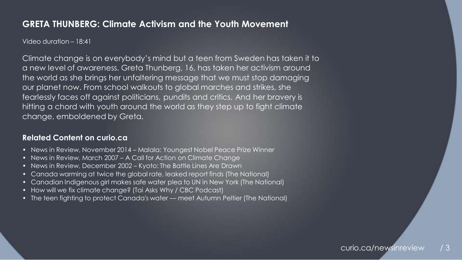#### **GRETA THUNBERG: Climate Activism and the Youth Movement**

Video duration – 18:41

Climate change is on everybody's mind but a teen from Sweden has taken it to a new level of awareness. Greta Thunberg, 16, has taken her activism around the world as she brings her unfaltering message that we must stop damaging our planet now. From school walkouts to global marches and strikes, she fearlessly faces off against politicians, pundits and critics. And her bravery is hitting a chord with youth around the world as they step up to fight climate change, emboldened by Greta.

#### **Related Content on curio.ca**

- News in Review, November 2014 Malala: Youngest Nobel Peace Prize Winner
- News in Review, March 2007 A Call for Action on Climate Change
- News in Review, December 2002 Kyoto: The Battle Lines Are Drawn
- Canada warming at twice the global rate, leaked report finds (The National)
- Canadian Indigenous girl makes safe water plea to UN in New York (The National)
- How will we fix climate change? (Tai Asks Why / CBC Podcast)
- The teen fighting to protect Canada's water meet Autumn Peltier (The National)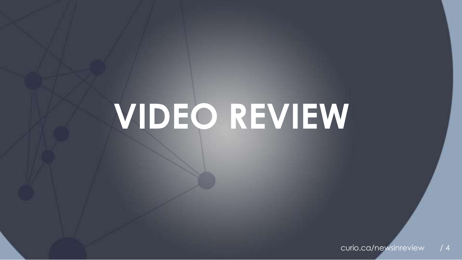# **VIDEO REVIEW**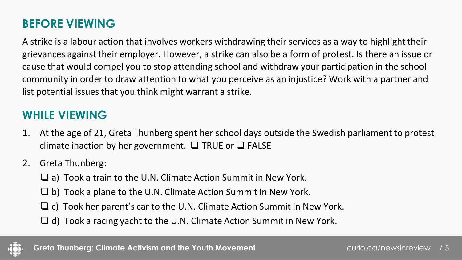## **BEFORE VIEWING**

A strike is a labour action that involves workers withdrawing their services as a way to highlight their grievances against their employer. However, a strike can also be a form of protest. Is there an issue or cause that would compel you to stop attending school and withdraw your participation in the school community in order to draw attention to what you perceive as an injustice? Work with a partner and list potential issues that you think might warrant a strike.

## **WHILE VIEWING**

- 1. At the age of 21, Greta Thunberg spent her school days outside the Swedish parliament to protest climate inaction by her government.  $\Box$  TRUE or  $\Box$  FALSE
- 2. Greta Thunberg:
	- $\Box$  a) Took a train to the U.N. Climate Action Summit in New York.
	- $\Box$  b) Took a plane to the U.N. Climate Action Summit in New York.
	- $\Box$  c) Took her parent's car to the U.N. Climate Action Summit in New York.
	- $\Box$  d) Took a racing yacht to the U.N. Climate Action Summit in New York.

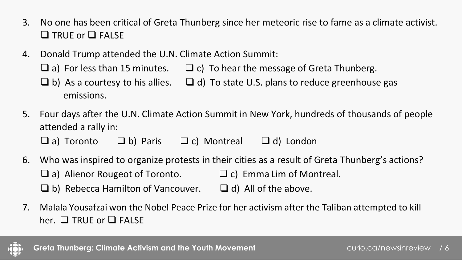- 3. No one has been critical of Greta Thunberg since her meteoric rise to fame as a climate activist. ❑ TRUE or ❑ FALSE
- 4. Donald Trump attended the U.N. Climate Action Summit:
	- $\Box$  a) For less than 15 minutes.  $\Box$  c) To hear the message of Greta Thunberg.
	- $\Box$  b) As a courtesy to his allies.  $\Box$  d) To state U.S. plans to reduce greenhouse gas emissions.
- 5. Four days after the U.N. Climate Action Summit in New York, hundreds of thousands of people attended a rally in:
	- ❑ a) Toronto ❑ b) Paris ❑ c) Montreal ❑ d) London
- 6. Who was inspired to organize protests in their cities as a result of Greta Thunberg's actions?  $\square$  a) Alienor Rougeot of Toronto.  $\square$  c) Emma Lim of Montreal.  $\Box$  b) Rebecca Hamilton of Vancouver.  $\Box$  d) All of the above.
- 7. Malala Yousafzai won the Nobel Peace Prize for her activism after the Taliban attempted to kill her. ❑ TRUE or ❑ FALSE

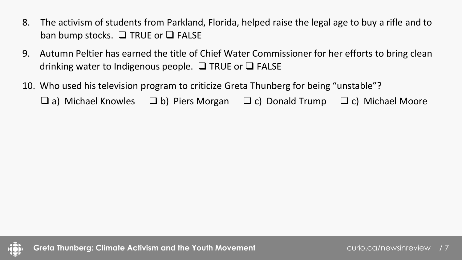- 8. The activism of students from Parkland, Florida, helped raise the legal age to buy a rifle and to ban bump stocks. ❑ TRUE or ❑ FALSE
- 9. Autumn Peltier has earned the title of Chief Water Commissioner for her efforts to bring clean drinking water to Indigenous people.  $\Box$  TRUE or  $\Box$  FALSE
- 10. Who used his television program to criticize Greta Thunberg for being "unstable"?

❑ a) Michael Knowles ❑ b) Piers Morgan ❑ c) Donald Trump ❑ c) Michael Moore

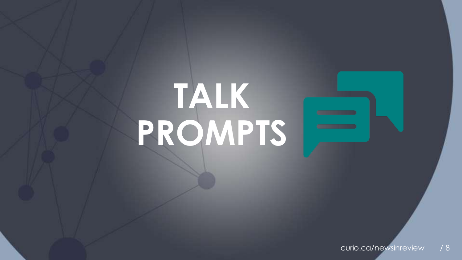# **TALK PROMPTS**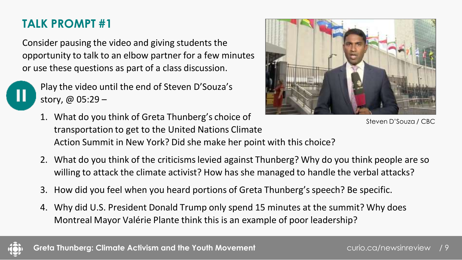## **TALK PROMPT #1**

Consider pausing the video and giving students the opportunity to talk to an elbow partner for a few minutes or use these questions as part of a class discussion.



- Play the video until the end of Steven D'Souza's story, @ 05:29 –
- 1. What do you think of Greta Thunberg's choice of transportation to get to the United Nations Climate Action Summit in New York? Did she make her point with this choice?



Steven D'Souza / CBC

- 2. What do you think of the criticisms levied against Thunberg? Why do you think people are so willing to attack the climate activist? How has she managed to handle the verbal attacks?
- 3. How did you feel when you heard portions of Greta Thunberg's speech? Be specific.
- 4. Why did U.S. President Donald Trump only spend 15 minutes at the summit? Why does Montreal Mayor Valérie Plante think this is an example of poor leadership?

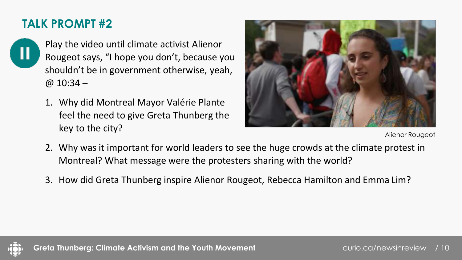## **TALK PROMPT #2**

Play the video until climate activist Alienor Rougeot says, "I hope you don't, because you shouldn't be in government otherwise, yeah,  $\omega$  10:34 –

1. Why did Montreal Mayor Valérie Plante feel the need to give Greta Thunberg the key to the city?



Alienor Rougeot

- 2. Why was it important for world leaders to see the huge crowds at the climate protest in Montreal? What message were the protesters sharing with the world?
- 3. How did Greta Thunberg inspire Alienor Rougeot, Rebecca Hamilton and Emma Lim?

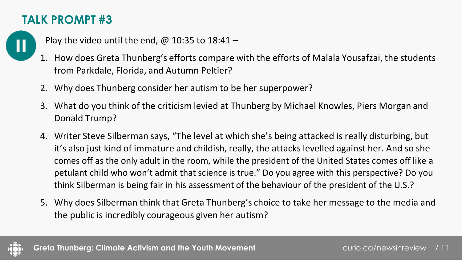## **TALK PROMPT #3**



Play the video until the end,  $\omega$  10:35 to 18:41 -

- 1. How does Greta Thunberg's efforts compare with the efforts of Malala Yousafzai, the students from Parkdale, Florida, and Autumn Peltier?
- 2. Why does Thunberg consider her autism to be her superpower?
- 3. What do you think of the criticism levied at Thunberg by Michael Knowles, Piers Morgan and Donald Trump?
- 4. Writer Steve Silberman says, "The level at which she's being attacked is really disturbing, but it's also just kind of immature and childish, really, the attacks levelled against her. And so she comes off as the only adult in the room, while the president of the United States comes off like a petulant child who won't admit that science is true." Do you agree with this perspective? Do you think Silberman is being fair in his assessment of the behaviour of the president of the U.S.?
- 5. Why does Silberman think that Greta Thunberg's choice to take her message to the media and the public is incredibly courageous given her autism?

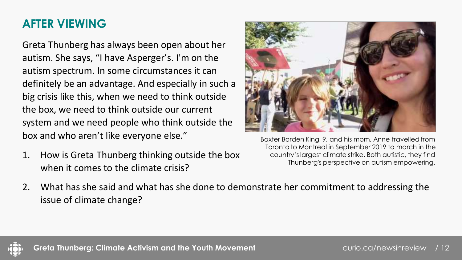## **AFTER VIEWING**

Greta Thunberg has always been open about her autism. She says, "I have Asperger's. I'm on the autism spectrum. In some circumstances it can definitely be an advantage. And especially in such a big crisis like this, when we need to think outside the box, we need to think outside our current system and we need people who think outside the box and who aren't like everyone else."

1. How is Greta Thunberg thinking outside the box when it comes to the climate crisis?



Baxter Borden King, 9, and his mom, Anne travelled from Toronto to Montreal in September 2019 to march in the country's largest climate strike. Both autistic, they find Thunberg's perspective on autism empowering.

2. What has she said and what has she done to demonstrate her commitment to addressing the issue of climate change?

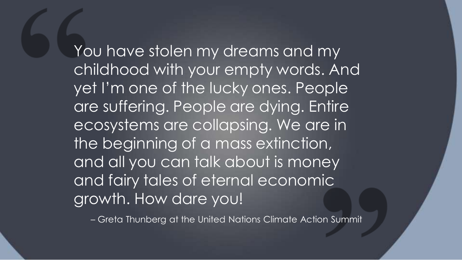You have stolen my dreams and my childhood with your empty words. And yet I'm one of the lucky ones. People are suffering. People are dying. Entire ecosystems are collapsing. We are in the beginning of a mass extinction, and all you can talk about is money and fairy tales of eternal economic growth. How dare you!

– Greta Thunberg at the United Nations Climate Action Summit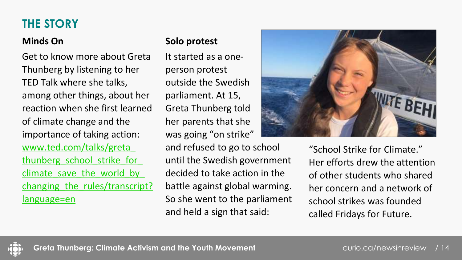## **THE STORY**

#### **Minds On**

Get to know more about Greta Thunberg by listening to her TED Talk where she talks, among other things, about her reaction when she first learned of climate change and the importance of taking action: www.ted.com/talks/greta\_ thunberg school strike for climate save the world by changing the rules/transcript? language=en

#### **Solo protest**

It started as a oneperson protest outside the Swedish parliament. At 15, Greta Thunberg told her parents that she was going "on strike" and refused to go to school

until the Swedish government decided to take action in the battle against global warming. So she went to the parliament and held a sign that said:



"School Strike for Climate." Her efforts drew the attention of other students who shared her concern and a network of school strikes was founded called Fridays for Future.

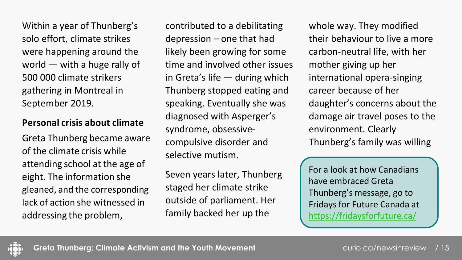Within a year of Thunberg's solo effort, climate strikes were happening around the world — with a huge rally of 500 000 climate strikers gathering in Montreal in September 2019.

#### **Personal crisis about climate**

Greta Thunberg became aware of the climate crisis while attending school at the age of eight. The information she gleaned, and the corresponding lack of action she witnessed in addressing the problem,

contributed to a debilitating depression – one that had likely been growing for some time and involved other issues in Greta's life — during which Thunberg stopped eating and speaking. Eventually she was diagnosed with Asperger's syndrome, obsessivecompulsive disorder and selective mutism.

Seven years later, Thunberg staged her climate strike outside of parliament. Her family backed her up the

whole way. They modified their behaviour to live a more carbon-neutral life, with her mother giving up her international opera-singing career because of her daughter's concerns about the damage air travel poses to the environment. Clearly Thunberg's family was willing

For a look at how Canadians have embraced Greta Thunberg's message, go to Fridays for Future Canada at <https://fridaysforfuture.ca/>

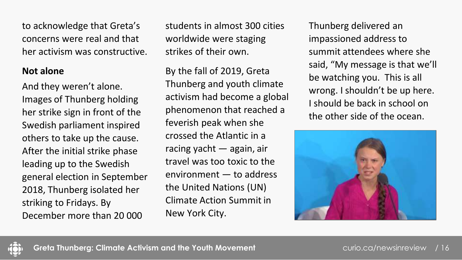to acknowledge that Greta's concerns were real and that her activism was constructive.

#### **Not alone**

And they weren't alone. Images of Thunberg holding her strike sign in front of the Swedish parliament inspired others to take up the cause. After the initial strike phase leading up to the Swedish general election in September 2018, Thunberg isolated her striking to Fridays. By December more than 20 000

students in almost 300 cities worldwide were staging strikes of their own.

By the fall of 2019, Greta Thunberg and youth climate activism had become a global phenomenon that reached a feverish peak when she crossed the Atlantic in a racing yacht — again, air travel was too toxic to the environment — to address the United Nations (UN) Climate Action Summit in New York City.

Thunberg delivered an impassioned address to summit attendees where she said, "My message is that we'll be watching you. This is all wrong. I shouldn't be up here. I should be back in school on the other side of the ocean.



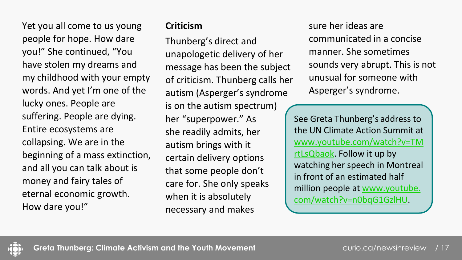Yet you all come to us young people for hope. How dare you!" She continued, "You have stolen my dreams and my childhood with your empty words. And yet I'm one of the lucky ones. People are suffering. People are dying. Entire ecosystems are collapsing. We are in the beginning of a mass extinction, and all you can talk about is money and fairy tales of eternal economic growth. How dare you!"

#### **Criticism**

Thunberg's direct and unapologetic delivery of her message has been the subject of criticism. Thunberg calls her autism (Asperger's syndrome is on the autism spectrum) her "superpower." As she readily admits, her autism brings with it certain delivery options that some people don't care for. She only speaks when it is absolutely necessary and makes

sure her ideas are communicated in a concise manner. She sometimes sounds very abrupt. This is not unusual for someone with Asperger's syndrome.

See Greta Thunberg's address to the UN Climate Action Summit at [www.youtube.com/watch?v=TM](https://www.youtube.com/watch?v=TMrtLsQbaok) rtLsQbaok. Follow it up by watching her speech in Montreal in front of an estimated half [million people at www.youtube.](https://www.youtube.com/watch?v=n0bqG1GzlHU) com/watch?v=n0bqG1GzlHU.

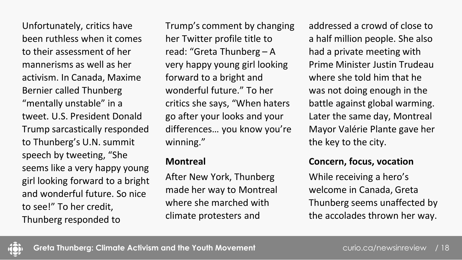Unfortunately, critics have been ruthless when it comes to their assessment of her mannerisms as well as her activism. In Canada, Maxime Bernier called Thunberg "mentally unstable" in a tweet. U.S. President Donald Trump sarcastically responded to Thunberg's U.N. summit speech by tweeting, "She seems like a very happy young girl looking forward to a bright and wonderful future. So nice to see!" To her credit, Thunberg responded to

Trump's comment by changing her Twitter profile title to read: "Greta Thunberg – A very happy young girl looking forward to a bright and wonderful future." To her critics she says, "When haters go after your looks and your differences… you know you're winning."

#### **Montreal**

After New York, Thunberg made her way to Montreal where she marched with climate protesters and

addressed a crowd of close to a half million people. She also had a private meeting with Prime Minister Justin Trudeau where she told him that he was not doing enough in the battle against global warming. Later the same day, Montreal Mayor Valérie Plante gave her the key to the city.

#### **Concern, focus, vocation**

While receiving a hero's welcome in Canada, Greta Thunberg seems unaffected by the accolades thrown her way.

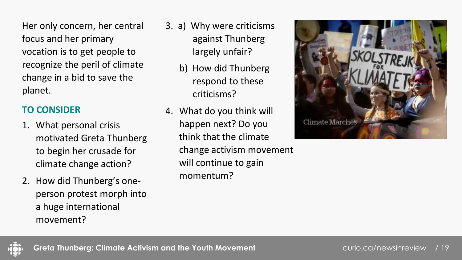Her only concern, her central focus and her primary vocation is to get people to recognize the peril of climate change in a bid to save the planet.

## **TO CONSIDER**

- 1. What personal crisis motivated Greta Thunberg to begin her crusade for climate change action?
- 2. How did Thunberg's oneperson protest morph into a huge international movement?
- 3. a) Why were criticisms against Thunberg largely unfair?
	- b) How did Thunberg respond to these criticisms?
- 4. What do you think will happen next? Do you think that the climate change activism movement will continue to gain momentum?



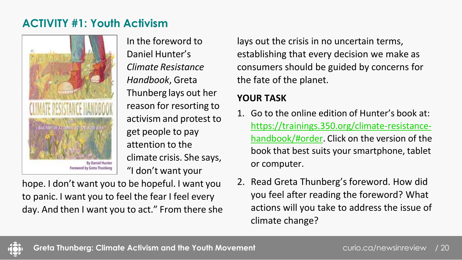## **ACTIVITY #1: Youth Activism**



In the foreword to Daniel Hunter's *Climate Resistance Handbook*, Greta Thunberg lays out her reason for resorting to activism and protest to get people to pay attention to the climate crisis. She says, "I don't want your

hope. I don't want you to be hopeful. I want you to panic. I want you to feel the fear I feel every day. And then I want you to act." From there she

lays out the crisis in no uncertain terms, establishing that every decision we make as consumers should be guided by concerns for the fate of the planet.

### **YOUR TASK**

- 1. Go to the online edition of Hunter's book at: [https://trainings.350.org/climate-resistance](https://trainings.350.org/climate-resistance-handbook/#order)handbook/#order. Click on the version of the book that best suits your smartphone, tablet or computer.
- 2. Read Greta Thunberg's foreword. How did you feel after reading the foreword? What actions will you take to address the issue of climate change?

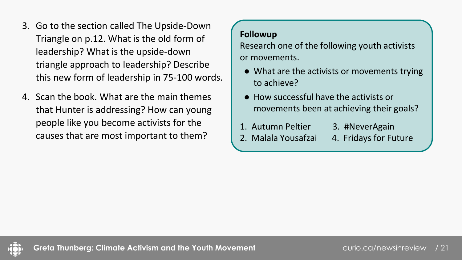- 3. Go to the section called The Upside-Down Triangle on p.12. What is the old form of leadership? What is the upside-down triangle approach to leadership? Describe this new form of leadership in 75-100 words.
- 4. Scan the book. What are the main themes that Hunter is addressing? How can young people like you become activists for the causes that are most important to them?

#### **Followup**

Research one of the following youth activists or movements.

- What are the activists or movements trying to achieve?
- How successful have the activists or movements been at achieving their goals?
- 1. Autumn Peltier 3. #NeverAgain
	-
- 2. Malala Yousafzai 4. Fridays for Future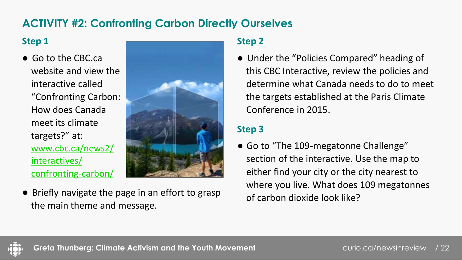## **ACTIVITY #2: Confronting Carbon Directly Ourselves**

## **Step 1**

● Go to the CBC.ca website and view the interactive called "Confronting Carbon: How does Canada meet its climate targets?" at: [www.cbc.ca/news2/](https://www.cbc.ca/news2/interactives/confronting-carbon/) interactives/ confronting-carbon/



● Briefly navigate the page in an effort to grasp the main theme and message.

### **Step 2**

● Under the "Policies Compared" heading of this CBC Interactive, review the policies and determine what Canada needs to do to meet the targets established at the Paris Climate Conference in 2015.

## **Step 3**

● Go to "The 109-megatonne Challenge" section of the interactive. Use the map to either find your city or the city nearest to where you live. What does 109 megatonnes of carbon dioxide look like?

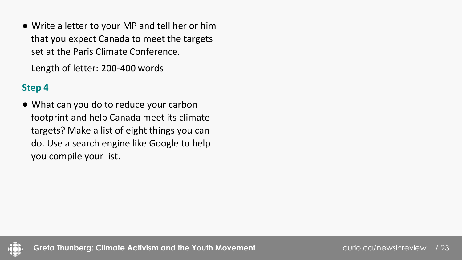● Write a letter to your MP and tell her or him that you expect Canada to meet the targets set at the Paris Climate Conference.

Length of letter: 200-400 words

#### **Step 4**

● What can you do to reduce your carbon footprint and help Canada meet its climate targets? Make a list of eight things you can do. Use a search engine like Google to help you compile your list.

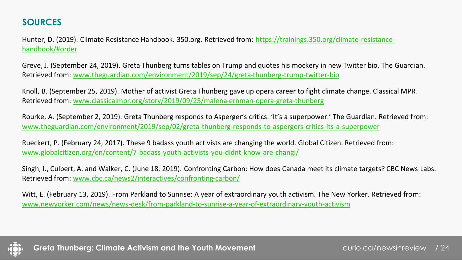#### **SOURCES**

[Hunter, D. \(2019\). Climate Resistance Handbook. 350.org. Retrieved from: https://trainings.350.org/climate-resistance](https://trainings.350.org/climate-resistance-handbook/#order)handbook/#order

Greve, J. (September 24, 2019). Greta Thunberg turns tables on Trump and quotes his mockery in new Twitter bio. The Guardian. Retrieved from: [www.theguardian.com/environment/2019/sep/24/greta-thunberg-trump-twitter-bio](https://www.theguardian.com/environment/2019/sep/24/greta-thunberg-trump-twitter-bio)

Knoll, B. (September 25, 2019). Mother of activist Greta Thunberg gave up opera career to fight climate change. Classical MPR. Retrieved from: [www.classicalmpr.org/story/2019/09/25/malena-ernman-opera-greta-thunberg](https://www.classicalmpr.org/story/2019/09/25/malena-ernman-opera-greta-thunberg)

Rourke, A. (September 2, 2019). Greta Thunberg responds to Asperger's critics. 'It's a superpower.' The Guardian. Retrieved from: [www.theguardian.com/environment/2019/sep/02/greta-thunberg-responds-to-aspergers-critics-its-a-superpower](https://www.theguardian.com/environment/2019/sep/02/greta-thunberg-responds-to-aspergers-critics-its-a-superpower)

Rueckert, P. (February 24, 2017). These 9 badass youth activists are changing the world. Global Citizen. Retrieved from: [www.globalcitizen.org/en/content/7-badass-youth-activists-you-didnt-know-are-changi/](https://www.globalcitizen.org/en/content/7-badass-youth-activists-you-didnt-know-are-changi/)

Singh, I., Culbert, A. and Walker, C. (June 18, 2019). Confronting Carbon: How does Canada meet its climate targets? CBC News Labs. Retrieved from: [www.cbc.ca/news2/interactives/confronting-carbon/](https://www.cbc.ca/news2/interactives/confronting-carbon/)

Witt, E. (February 13, 2019). From Parkland to Sunrise: A year of extraordinary youth activism. The New Yorker. Retrieved from: [www.newyorker.com/news/news-desk/from-parkland-to-sunrise-a-year-of-extraordinary-youth-activism](https://www.newyorker.com/news/news-desk/from-parkland-to-sunrise-a-year-of-extraordinary-youth-activism)

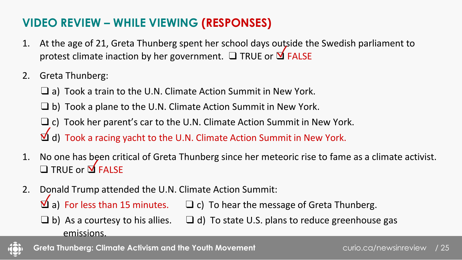# **VIDEO REVIEW – WHILE VIEWING (RESPONSES)**

- 1. At the age of 21, Greta Thunberg spent her school days outside the Swedish parliament to The the age of 21, order mannerg spent her sender days bagned the protest climate inaction by her government. □ TRUE or ■ FALSE
- 2. Greta Thunberg:
	- ❑ a) Took a train to the U.N. Climate Action Summit in New York.
	- $\Box$  b) Took a plane to the U.N. Climate Action Summit in New York.

❑ c) Took her parent's car to the U.N. Climate Action Summit in New York. ❑ d) Took a racing yacht to the U.N. Climate Action Summit in New York. ✓

- 1. No one has been critical of Greta Thunberg since her meteoric rise to fame as a climate activist. ❑ TRUE or ❑ FALSE ✓
- 2. Donald Trump attended the U.N. Climate Action Summit:

 $\blacktriangleleft$  a) For less than 15 minutes.  $\Box$  c) To hear the message of Greta Thunberg.

 $\Box$  b) As a courtesy to his allies.  $\Box$  d) To state U.S. plans to reduce greenhouse gas emissions.